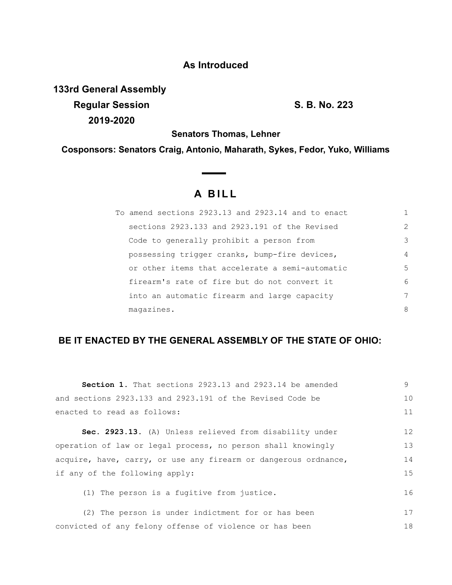## **As Introduced**

**133rd General Assembly Regular Session S. B. No. 223 2019-2020**

**Senators Thomas, Lehner**

**Cosponsors: Senators Craig, Antonio, Maharath, Sykes, Fedor, Yuko, Williams**

 $\overline{\phantom{a}}$ 

## **A BILL**

| To amend sections 2923.13 and 2923.14 and to enact |               |
|----------------------------------------------------|---------------|
| sections 2923.133 and 2923.191 of the Revised      | $\mathcal{L}$ |
| Code to generally prohibit a person from           | 3             |
| possessing trigger cranks, bump-fire devices,      | 4             |
| or other items that accelerate a semi-automatic    | 5             |
| firearm's rate of fire but do not convert it       | 6             |
| into an automatic firearm and large capacity       | 7             |
| magazines.                                         | 8             |

## **BE IT ENACTED BY THE GENERAL ASSEMBLY OF THE STATE OF OHIO:**

| <b>Section 1.</b> That sections 2923.13 and 2923.14 be amended  | 9  |
|-----------------------------------------------------------------|----|
| and sections 2923.133 and 2923.191 of the Revised Code be       | 10 |
| enacted to read as follows:                                     | 11 |
| Sec. 2923.13. (A) Unless relieved from disability under         | 12 |
|                                                                 |    |
| operation of law or legal process, no person shall knowingly    | 13 |
| acquire, have, carry, or use any firearm or dangerous ordnance, | 14 |
| if any of the following apply:                                  | 15 |
| (1) The person is a fugitive from justice.                      | 16 |
| (2) The person is under indictment for or has been              | 17 |
| convicted of any felony offense of violence or has been         | 18 |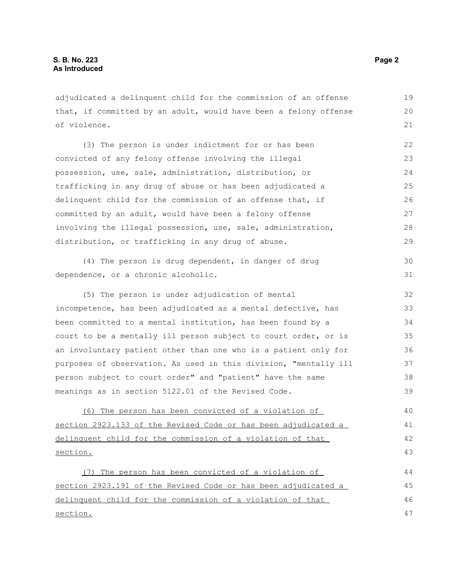adjudicated a delinquent child for the commission of an offense that, if committed by an adult, would have been a felony offense of violence.

(3) The person is under indictment for or has been convicted of any felony offense involving the illegal possession, use, sale, administration, distribution, or trafficking in any drug of abuse or has been adjudicated a delinquent child for the commission of an offense that, if committed by an adult, would have been a felony offense involving the illegal possession, use, sale, administration, distribution, or trafficking in any drug of abuse. 22 23 24 25 26 27 28 29

(4) The person is drug dependent, in danger of drug dependence, or a chronic alcoholic. 30 31

(5) The person is under adjudication of mental incompetence, has been adjudicated as a mental defective, has been committed to a mental institution, has been found by a court to be a mentally ill person subject to court order, or is an involuntary patient other than one who is a patient only for purposes of observation. As used in this division, "mentally ill person subject to court order" and "patient" have the same meanings as in section 5122.01 of the Revised Code. 32 33 34 35 36 37 38 39

 (6) The person has been convicted of a violation of section 2923.133 of the Revised Code or has been adjudicated a delinquent child for the commission of a violation of that section. 40 41 42 43

 (7) The person has been convicted of a violation of section 2923.191 of the Revised Code or has been adjudicated a delinquent child for the commission of a violation of that section. 44 45 46 47

19 20 21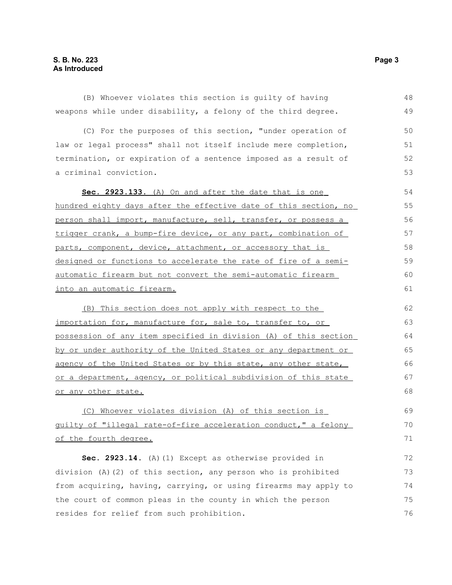(B) Whoever violates this section is guilty of having weapons while under disability, a felony of the third degree. (C) For the purposes of this section, "under operation of law or legal process" shall not itself include mere completion, termination, or expiration of a sentence imposed as a result of a criminal conviction. **Sec. 2923.133.** (A) On and after the date that is one hundred eighty days after the effective date of this section, no person shall import, manufacture, sell, transfer, or possess a trigger crank, a bump-fire device, or any part, combination of parts, component, device, attachment, or accessory that is designed or functions to accelerate the rate of fire of a semi automatic firearm but not convert the semi-automatic firearm into an automatic firearm. (B) This section does not apply with respect to the importation for, manufacture for, sale to, transfer to, or possession of any item specified in division (A) of this section by or under authority of the United States or any department or agency of the United States or by this state, any other state, or a department, agency, or political subdivision of this state or any other state. (C) Whoever violates division (A) of this section is guilty of "illegal rate-of-fire acceleration conduct," a felony 48 49 50 51 52 53 54 55 56 57 58 59 60 61 62 63 64 65 66 67 68 69 70

of the fourth degree.

**Sec. 2923.14.** (A)(1) Except as otherwise provided in division (A)(2) of this section, any person who is prohibited from acquiring, having, carrying, or using firearms may apply to the court of common pleas in the county in which the person resides for relief from such prohibition. 72 73 74 75 76

71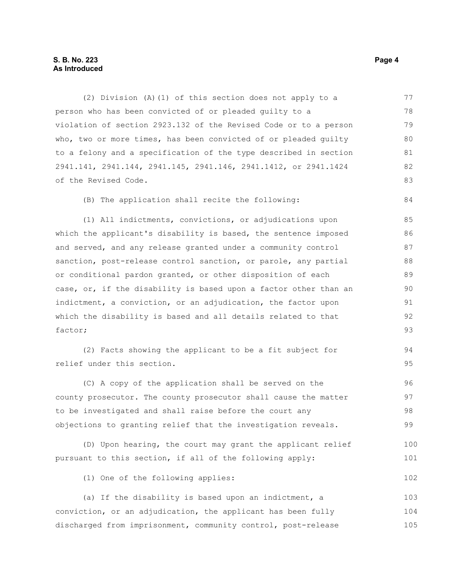## **S. B. No. 223 Page 4 As Introduced**

(2) Division (A)(1) of this section does not apply to a person who has been convicted of or pleaded guilty to a violation of section 2923.132 of the Revised Code or to a person who, two or more times, has been convicted of or pleaded guilty to a felony and a specification of the type described in section 2941.141, 2941.144, 2941.145, 2941.146, 2941.1412, or 2941.1424 of the Revised Code. 77 78 79 80 81 82 83

(B) The application shall recite the following:

(1) All indictments, convictions, or adjudications upon which the applicant's disability is based, the sentence imposed and served, and any release granted under a community control sanction, post-release control sanction, or parole, any partial or conditional pardon granted, or other disposition of each case, or, if the disability is based upon a factor other than an indictment, a conviction, or an adjudication, the factor upon which the disability is based and all details related to that factor; 85 86 87 88 89 90 91 92 93

(2) Facts showing the applicant to be a fit subject for relief under this section.

(C) A copy of the application shall be served on the county prosecutor. The county prosecutor shall cause the matter to be investigated and shall raise before the court any objections to granting relief that the investigation reveals. 96 97 98 99

(D) Upon hearing, the court may grant the applicant relief pursuant to this section, if all of the following apply: 100 101

(1) One of the following applies:

(a) If the disability is based upon an indictment, a conviction, or an adjudication, the applicant has been fully discharged from imprisonment, community control, post-release 103 104 105

84

94 95

102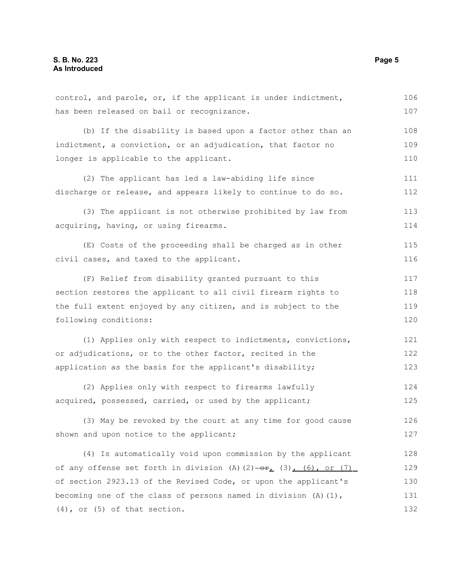control, and parole, or, if the applicant is under indictment, has been released on bail or recognizance. (b) If the disability is based upon a factor other than an indictment, a conviction, or an adjudication, that factor no longer is applicable to the applicant. (2) The applicant has led a law-abiding life since discharge or release, and appears likely to continue to do so. (3) The applicant is not otherwise prohibited by law from acquiring, having, or using firearms. (E) Costs of the proceeding shall be charged as in other civil cases, and taxed to the applicant. (F) Relief from disability granted pursuant to this section restores the applicant to all civil firearm rights to the full extent enjoyed by any citizen, and is subject to the following conditions: (1) Applies only with respect to indictments, convictions, or adjudications, or to the other factor, recited in the application as the basis for the applicant's disability; (2) Applies only with respect to firearms lawfully acquired, possessed, carried, or used by the applicant; (3) May be revoked by the court at any time for good cause shown and upon notice to the applicant; (4) Is automatically void upon commission by the applicant of any offense set forth in division (A)(2) $-\theta$ r, (3), (6), or (7) of section 2923.13 of the Revised Code, or upon the applicant's becoming one of the class of persons named in division  $(A)(1)$ , (4), or (5) of that section. 106 107 108 109 110 111 112 113 114 115 116 117 118 119 120 121 122 123 124 125 126 127 128 129 130 131 132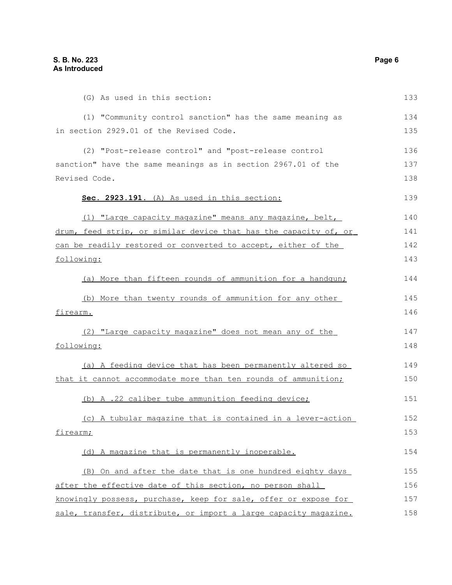(G) As used in this section: (1) "Community control sanction" has the same meaning as in section 2929.01 of the Revised Code. (2) "Post-release control" and "post-release control sanction" have the same meanings as in section 2967.01 of the Revised Code. **Sec. 2923.191.** (A) As used in this section: (1) "Large capacity magazine" means any magazine, belt, drum, feed strip, or similar device that has the capacity of, or can be readily restored or converted to accept, either of the following: (a) More than fifteen rounds of ammunition for a handgun; (b) More than twenty rounds of ammunition for any other firearm. (2) "Large capacity magazine" does not mean any of the following: (a) A feeding device that has been permanently altered so that it cannot accommodate more than ten rounds of ammunition; (b) A .22 caliber tube ammunition feeding device; (c) A tubular magazine that is contained in a lever-action firearm; (d) A magazine that is permanently inoperable. (B) On and after the date that is one hundred eighty days after the effective date of this section, no person shall knowingly possess, purchase, keep for sale, offer or expose for sale, transfer, distribute, or import a large capacity magazine. 133 134 135 136 137 138 139 140 141 142 143 144 145 146 147 148 149 150 151 152 153 154 155 156 157 158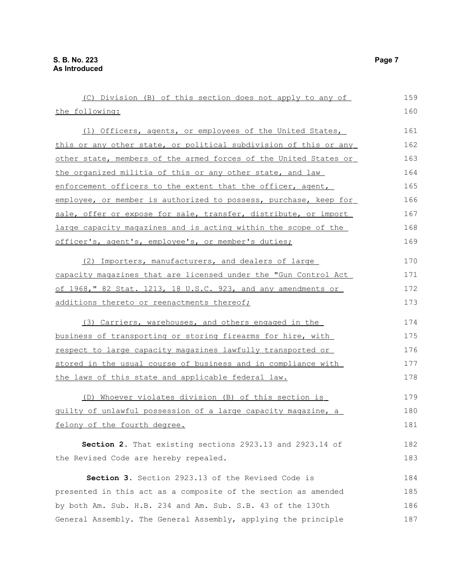| (C) Division (B) of this section does not apply to any of        | 159 |
|------------------------------------------------------------------|-----|
| the following:                                                   | 160 |
| (1) Officers, agents, or employees of the United States,         | 161 |
| this or any other state, or political subdivision of this or any | 162 |
| other state, members of the armed forces of the United States or | 163 |
| the organized militia of this or any other state, and law        | 164 |
| enforcement officers to the extent that the officer, agent,      | 165 |
| employee, or member is authorized to possess, purchase, keep for | 166 |
| sale, offer or expose for sale, transfer, distribute, or import  | 167 |
| large capacity magazines and is acting within the scope of the   | 168 |
| officer's, agent's, employee's, or member's duties;              | 169 |
| (2) Importers, manufacturers, and dealers of large               | 170 |
| capacity magazines that are licensed under the "Gun Control Act  | 171 |
| of 1968," 82 Stat. 1213, 18 U.S.C. 923, and any amendments or    | 172 |
| additions thereto or reenactments thereof;                       | 173 |
| (3) Carriers, warehouses, and others engaged in the              | 174 |
| business of transporting or storing firearms for hire, with      | 175 |
| respect to large capacity magazines lawfully transported or      | 176 |
| stored in the usual course of business and in compliance with    | 177 |
| the laws of this state and applicable federal law.               | 178 |
| (D) Whoever violates division (B) of this section is             | 179 |
| guilty of unlawful possession of a large capacity magazine, a    | 180 |
| felony of the fourth degree.                                     | 181 |
| Section 2. That existing sections 2923.13 and 2923.14 of         | 182 |
| the Revised Code are hereby repealed.                            | 183 |
| Section 3. Section 2923.13 of the Revised Code is                | 184 |
| presented in this act as a composite of the section as amended   | 185 |
| by both Am. Sub. H.B. 234 and Am. Sub. S.B. 43 of the 130th      | 186 |
| General Assembly. The General Assembly, applying the principle   | 187 |